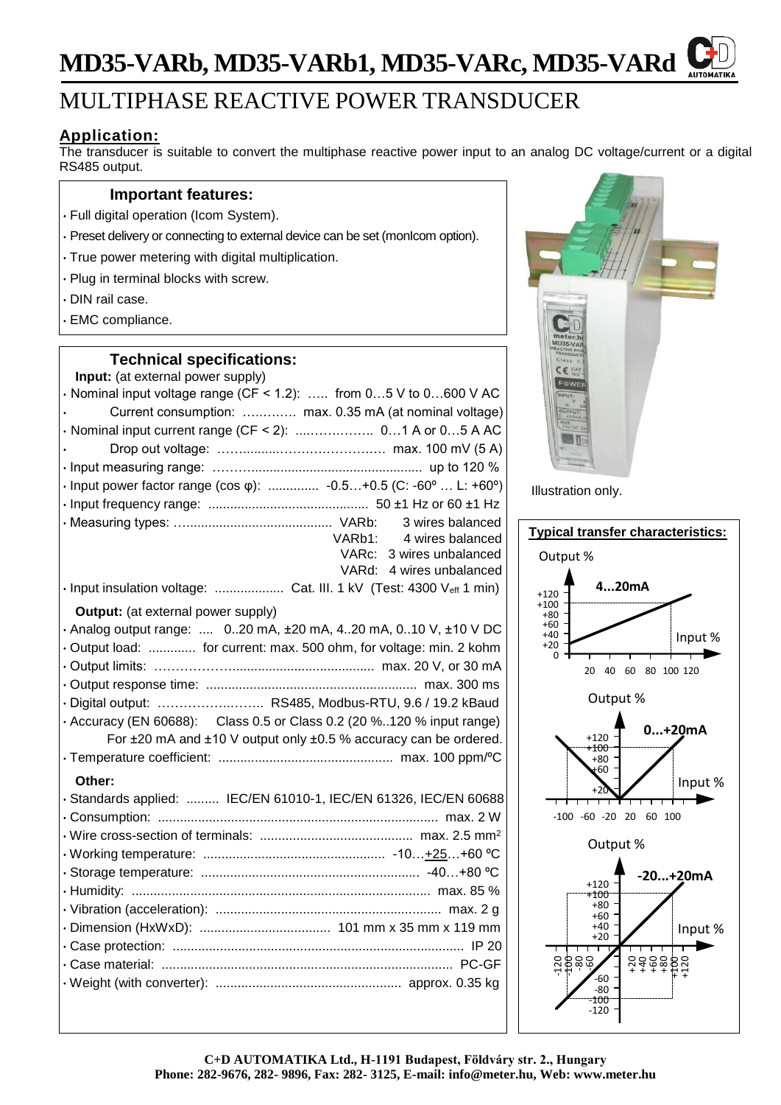# **MD35-VARb, MD35-VARb1, MD35-VARc, MD35-VARd**

# MULTIPHASE REACTIVE POWER TRANSDUCER

## **Application:**

The transducer is suitable to convert the multiphase reactive power input to an analog DC voltage/current or a digital RS485 output.

### **Important features:**

- Full digital operation (Icom System).
- Preset delivery or connecting to external device can be set (monIcom option).
- True power metering with digital multiplication.
- Plug in terminal blocks with screw.
- DIN rail case.
- EMC compliance.

## **Technical specifications:**

| Input: (at external power supply)                                       |  |  |
|-------------------------------------------------------------------------|--|--|
| $\cdot$ Nominal input voltage range (CF < 1.2):  from 05 V to 0600 V AC |  |  |
| Current consumption:  max. 0.35 mA (at nominal voltage)                 |  |  |
|                                                                         |  |  |
|                                                                         |  |  |
|                                                                         |  |  |
| · Input power factor range (cos φ):  -0.5+0.5 (C: -60°  L: +60°)        |  |  |
|                                                                         |  |  |
| 3 wires balanced                                                        |  |  |
| VARb1:<br>4 wires balanced                                              |  |  |
| VARc: 3 wires unbalanced                                                |  |  |
| VARd: 4 wires unbalanced                                                |  |  |
| · Input insulation voltage:  Cat. III. 1 kV (Test: 4300 Veff 1 min)     |  |  |
| <b>Output:</b> (at external power supply)                               |  |  |
| · Analog output range:  020 mA, ±20 mA, 420 mA, 010 V, ±10 V DC         |  |  |
| · Output load:  for current: max. 500 ohm, for voltage: min. 2 kohm     |  |  |
|                                                                         |  |  |
|                                                                         |  |  |
| · Digital output:  RS485, Modbus-RTU, 9.6 / 19.2 kBaud                  |  |  |
| • Accuracy (EN 60688): Class 0.5 or Class 0.2 (20 %120 % input range)   |  |  |
| For ±20 mA and ±10 V output only ±0.5 % accuracy can be ordered.        |  |  |
|                                                                         |  |  |
| Other:                                                                  |  |  |
| · Standards applied:  IEC/EN 61010-1, IEC/EN 61326, IEC/EN 60688        |  |  |
|                                                                         |  |  |
|                                                                         |  |  |
|                                                                         |  |  |
|                                                                         |  |  |
|                                                                         |  |  |
|                                                                         |  |  |
|                                                                         |  |  |
|                                                                         |  |  |
|                                                                         |  |  |
|                                                                         |  |  |
|                                                                         |  |  |
|                                                                         |  |  |



Illustration only.